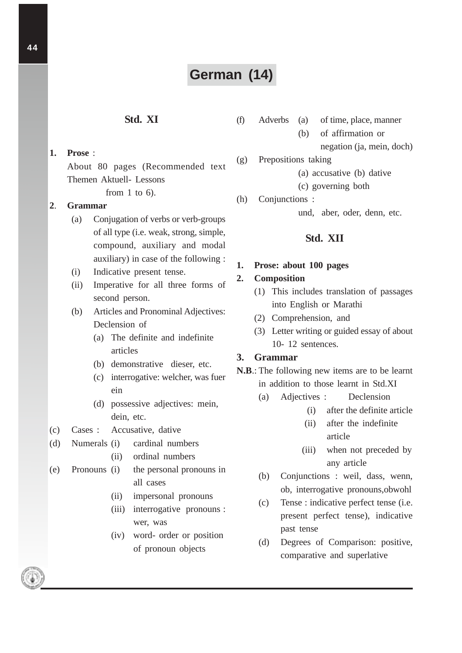# **German (14)**

# **Std. XI**

**1. Prose** : About 80 pages (Recommended text Themen Aktuell- Lessons from 1 to 6).

#### **2**. **Grammar**

- (a) Conjugation of verbs or verb-groups of all type (i.e. weak, strong, simple, compound, auxiliary and modal auxiliary) in case of the following :
- (i) Indicative present tense.
- (ii) Imperative for all three forms of second person.
- (b) Articles and Pronominal Adjectives: Declension of
	- (a) The definite and indefinite articles
	- (b) demonstrative dieser, etc.
	- (c) interrogative: welcher, was fuer ein
	- (d) possessive adjectives: mein, dein, etc.
- (c) Cases : Accusative, dative
- (d) Numerals (i) cardinal numbers
	- (ii) ordinal numbers
- (e) Pronouns (i) the personal pronouns in all cases
	- (ii) impersonal pronouns
	- (iii) interrogative pronouns : wer, was
	- (iv) word- order or position of pronoun objects
- (f) Adverbs (a) of time, place, manner
	- (b) of affirmation or
		- negation (ja, mein, doch)
- (g) Prepositions taking
	- (a) accusative (b) dative
	- (c) governing both
- (h) Conjunctions :

und, aber, oder, denn, etc.

### **Std. XII**

#### **1. Prose: about 100 pages**

#### **2. Composition**

- (1) This includes translation of passages into English or Marathi
- (2) Comprehension, and
- (3) Letter writing or guided essay of about 10- 12 sentences.

## **3. Grammar**

- **N.B**.: The following new items are to be learnt in addition to those learnt in Std.XI
	- (a) Adjectives : Declension
		- (i) after the definite article
		- (ii) after the indefinite article
		- (iii) when not preceded by any article
	- (b) Conjunctions : weil, dass, wenn, ob, interrogative pronouns,obwohl
	- (c) Tense : indicative perfect tense (i.e. present perfect tense), indicative past tense
	- (d) Degrees of Comparison: positive, comparative and superlative